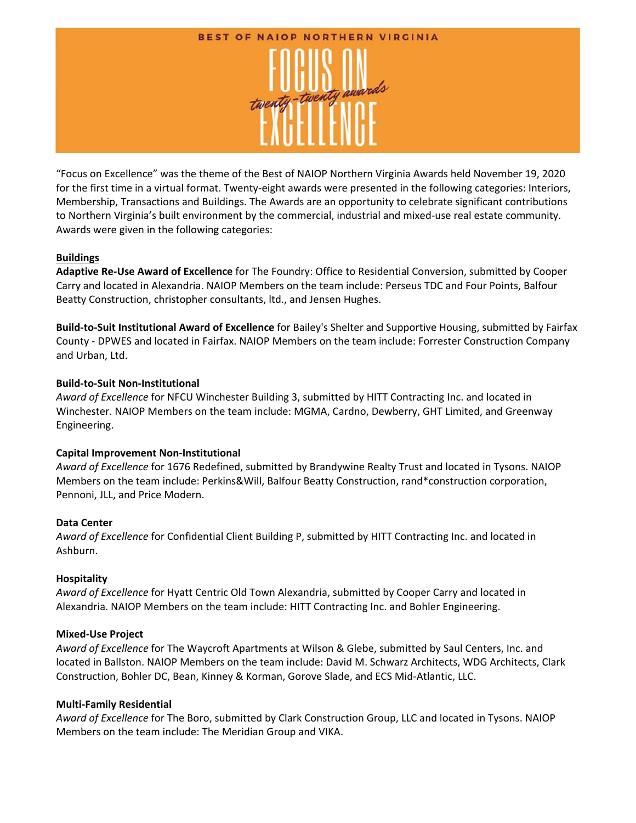

"Focus on Excellence" was the theme of the Best of NAIOP Northern Virginia Awards held November 19, 2020 for the first time in a virtual format. Twenty-eight awards were presented in the following categories: Interiors, Membership, Transactions and Buildings. The Awards are an opportunity to celebrate significant contributions to Northern Virginia's built environment by the commercial, industrial and mixed‐use real estate community. Awards were given in the following categories:

# **Buildings**

**Adaptive Re‐Use Award of Excellence** for The Foundry: Office to Residential Conversion, submitted by Cooper Carry and located in Alexandria. NAIOP Members on the team include: Perseus TDC and Four Points, Balfour Beatty Construction, christopher consultants, ltd., and Jensen Hughes.

**Build‐to‐Suit Institutional Award of Excellence** for Bailey's Shelter and Supportive Housing, submitted by Fairfax County ‐ DPWES and located in Fairfax. NAIOP Members on the team include: Forrester Construction Company and Urban, Ltd.

# **Build‐to‐Suit Non‐Institutional**

*Award of Excellence* for NFCU Winchester Building 3, submitted by HITT Contracting Inc. and located in Winchester. NAIOP Members on the team include: MGMA, Cardno, Dewberry, GHT Limited, and Greenway Engineering.

# **Capital Improvement Non‐Institutional**

*Award of Excellence* for 1676 Redefined, submitted by Brandywine Realty Trust and located in Tysons. NAIOP Members on the team include: Perkins&Will, Balfour Beatty Construction, rand\*construction corporation, Pennoni, JLL, and Price Modern.

# **Data Center**

*Award of Excellence* for Confidential Client Building P, submitted by HITT Contracting Inc. and located in Ashburn.

# **Hospitality**

*Award of Excellence* for Hyatt Centric Old Town Alexandria, submitted by Cooper Carry and located in Alexandria. NAIOP Members on the team include: HITT Contracting Inc. and Bohler Engineering.

# **Mixed‐Use Project**

*Award of Excellence* for The Waycroft Apartments at Wilson & Glebe, submitted by Saul Centers, Inc. and located in Ballston. NAIOP Members on the team include: David M. Schwarz Architects, WDG Architects, Clark Construction, Bohler DC, Bean, Kinney & Korman, Gorove Slade, and ECS Mid‐Atlantic, LLC.

# **Multi‐Family Residential**

*Award of Excellence* for The Boro, submitted by Clark Construction Group, LLC and located in Tysons. NAIOP Members on the team include: The Meridian Group and VIKA.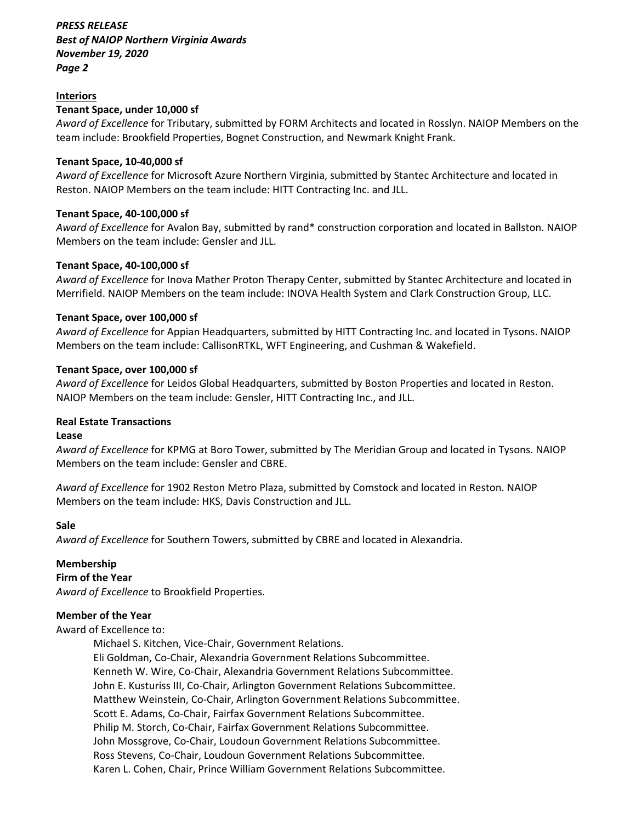# *PRESS RELEASE Best of NAIOP Northern Virginia Awards November 19, 2020 Page 2*

### **Interiors**

#### **Tenant Space, under 10,000 sf**

*Award of Excellence* for Tributary, submitted by FORM Architects and located in Rosslyn. NAIOP Members on the team include: Brookfield Properties, Bognet Construction, and Newmark Knight Frank.

#### **Tenant Space, 10‐40,000 sf**

*Award of Excellence* for Microsoft Azure Northern Virginia, submitted by Stantec Architecture and located in Reston. NAIOP Members on the team include: HITT Contracting Inc. and JLL.

#### **Tenant Space, 40‐100,000 sf**

*Award of Excellence* for Avalon Bay, submitted by rand\* construction corporation and located in Ballston. NAIOP Members on the team include: Gensler and JLL.

#### **Tenant Space, 40‐100,000 sf**

*Award of Excellence* for Inova Mather Proton Therapy Center, submitted by Stantec Architecture and located in Merrifield. NAIOP Members on the team include: INOVA Health System and Clark Construction Group, LLC.

#### **Tenant Space, over 100,000 sf**

*Award of Excellence* for Appian Headquarters, submitted by HITT Contracting Inc. and located in Tysons. NAIOP Members on the team include: CallisonRTKL, WFT Engineering, and Cushman & Wakefield.

#### **Tenant Space, over 100,000 sf**

*Award of Excellence* for Leidos Global Headquarters, submitted by Boston Properties and located in Reston. NAIOP Members on the team include: Gensler, HITT Contracting Inc., and JLL.

#### **Real Estate Transactions**

#### **Lease**

*Award of Excellence* for KPMG at Boro Tower, submitted by The Meridian Group and located in Tysons. NAIOP Members on the team include: Gensler and CBRE.

*Award of Excellence* for 1902 Reston Metro Plaza, submitted by Comstock and located in Reston. NAIOP Members on the team include: HKS, Davis Construction and JLL.

# **Sale**

*Award of Excellence* for Southern Towers, submitted by CBRE and located in Alexandria.

# **Membership**

**Firm of the Year** 

*Award of Excellence* to Brookfield Properties.

# **Member of the Year**

#### Award of Excellence to:

Michael S. Kitchen, Vice‐Chair, Government Relations.

Eli Goldman, Co‐Chair, Alexandria Government Relations Subcommittee. Kenneth W. Wire, Co‐Chair, Alexandria Government Relations Subcommittee. John E. Kusturiss III, Co‐Chair, Arlington Government Relations Subcommittee. Matthew Weinstein, Co‐Chair, Arlington Government Relations Subcommittee. Scott E. Adams, Co‐Chair, Fairfax Government Relations Subcommittee. Philip M. Storch, Co‐Chair, Fairfax Government Relations Subcommittee. John Mossgrove, Co‐Chair, Loudoun Government Relations Subcommittee. Ross Stevens, Co‐Chair, Loudoun Government Relations Subcommittee. Karen L. Cohen, Chair, Prince William Government Relations Subcommittee.